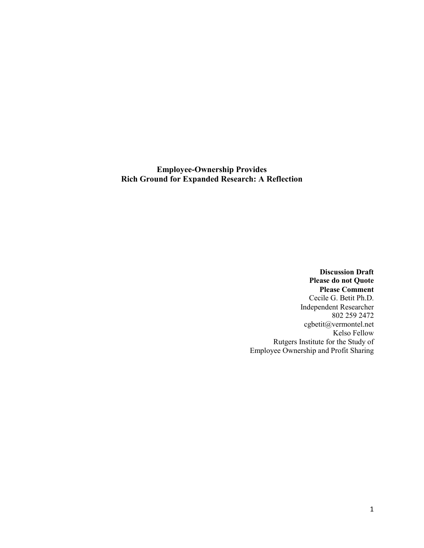**Employee-Ownership Provides Rich Ground for Expanded Research: A Reflection** 

> **Discussion Draft Please do not Quote Please Comment** Cecile G. Betit Ph.D. Independent Researcher 802 259 2472 cgbetit@vermontel.net Kelso Fellow Rutgers Institute for the Study of Employee Ownership and Profit Sharing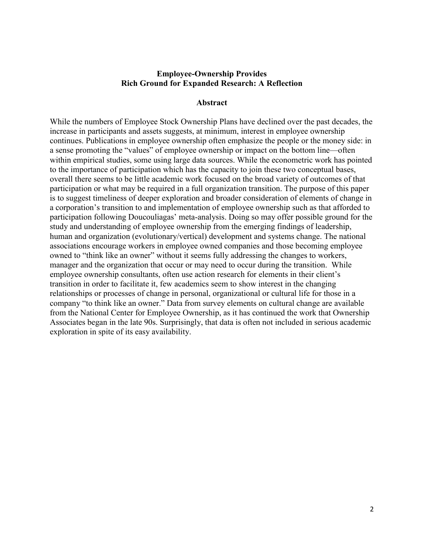#### **Employee-Ownership Provides Rich Ground for Expanded Research: A Reflection**

#### **Abstract**

While the numbers of Employee Stock Ownership Plans have declined over the past decades, the increase in participants and assets suggests, at minimum, interest in employee ownership continues. Publications in employee ownership often emphasize the people or the money side: in a sense promoting the "values" of employee ownership or impact on the bottom line—often within empirical studies, some using large data sources. While the econometric work has pointed to the importance of participation which has the capacity to join these two conceptual bases, overall there seems to be little academic work focused on the broad variety of outcomes of that participation or what may be required in a full organization transition. The purpose of this paper is to suggest timeliness of deeper exploration and broader consideration of elements of change in a corporation's transition to and implementation of employee ownership such as that afforded to participation following Doucouliagas' meta-analysis. Doing so may offer possible ground for the study and understanding of employee ownership from the emerging findings of leadership, human and organization (evolutionary/vertical) development and systems change. The national associations encourage workers in employee owned companies and those becoming employee owned to "think like an owner" without it seems fully addressing the changes to workers, manager and the organization that occur or may need to occur during the transition. While employee ownership consultants, often use action research for elements in their client's transition in order to facilitate it, few academics seem to show interest in the changing relationships or processes of change in personal, organizational or cultural life for those in a company "to think like an owner." Data from survey elements on cultural change are available from the National Center for Employee Ownership, as it has continued the work that Ownership Associates began in the late 90s. Surprisingly, that data is often not included in serious academic exploration in spite of its easy availability.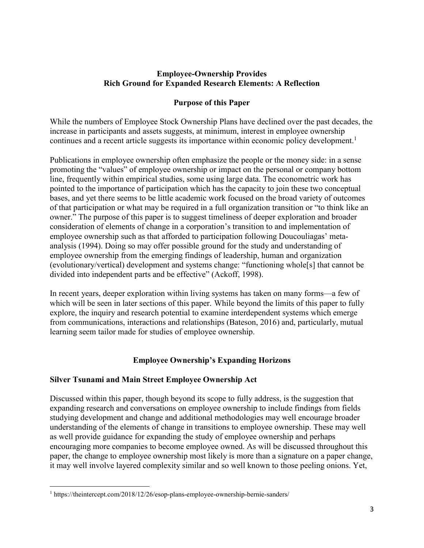## **Employee-Ownership Provides Rich Ground for Expanded Research Elements: A Reflection**

## **Purpose of this Paper**

While the numbers of Employee Stock Ownership Plans have declined over the past decades, the increase in participants and assets suggests, at minimum, interest in employee ownership continues and a recent article suggests its importance within economic policy development.<sup>1</sup>

Publications in employee ownership often emphasize the people or the money side: in a sense promoting the "values" of employee ownership or impact on the personal or company bottom line, frequently within empirical studies, some using large data. The econometric work has pointed to the importance of participation which has the capacity to join these two conceptual bases, and yet there seems to be little academic work focused on the broad variety of outcomes of that participation or what may be required in a full organization transition or "to think like an owner." The purpose of this paper is to suggest timeliness of deeper exploration and broader consideration of elements of change in a corporation's transition to and implementation of employee ownership such as that afforded to participation following Doucouliagas' metaanalysis (1994). Doing so may offer possible ground for the study and understanding of employee ownership from the emerging findings of leadership, human and organization (evolutionary/vertical) development and systems change: "functioning whole[s] that cannot be divided into independent parts and be effective" (Ackoff, 1998).

In recent years, deeper exploration within living systems has taken on many forms—a few of which will be seen in later sections of this paper. While beyond the limits of this paper to fully explore, the inquiry and research potential to examine interdependent systems which emerge from communications, interactions and relationships (Bateson, 2016) and, particularly, mutual learning seem tailor made for studies of employee ownership.

# **Employee Ownership's Expanding Horizons**

## **Silver Tsunami and Main Street Employee Ownership Act**

Discussed within this paper, though beyond its scope to fully address, is the suggestion that expanding research and conversations on employee ownership to include findings from fields studying development and change and additional methodologies may well encourage broader understanding of the elements of change in transitions to employee ownership. These may well as well provide guidance for expanding the study of employee ownership and perhaps encouraging more companies to become employee owned. As will be discussed throughout this paper, the change to employee ownership most likely is more than a signature on a paper change, it may well involve layered complexity similar and so well known to those peeling onions. Yet,

**.** 

<sup>&</sup>lt;sup>1</sup> https://theintercept.com/2018/12/26/esop-plans-employee-ownership-bernie-sanders/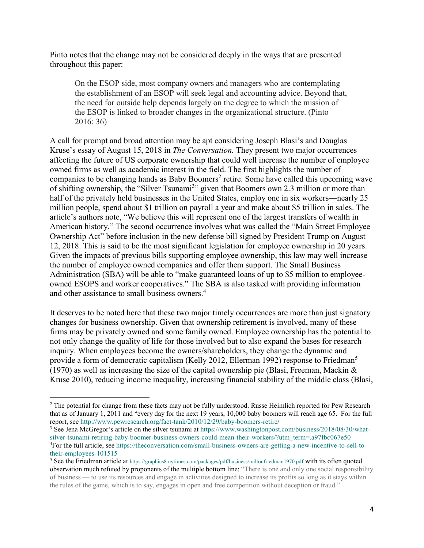Pinto notes that the change may not be considered deeply in the ways that are presented throughout this paper:

On the ESOP side, most company owners and managers who are contemplating the establishment of an ESOP will seek legal and accounting advice. Beyond that, the need for outside help depends largely on the degree to which the mission of the ESOP is linked to broader changes in the organizational structure. (Pinto 2016: 36)

A call for prompt and broad attention may be apt considering Joseph Blasi's and Douglas Kruse's essay of August 15, 2018 in *The Conversation.* They present two major occurrences affecting the future of US corporate ownership that could well increase the number of employee owned firms as well as academic interest in the field. The first highlights the number of companies to be changing hands as Baby Boomers<sup>2</sup> retire. Some have called this upcoming wave of shifting ownership, the "Silver Tsunami<sup>3</sup>" given that Boomers own 2.3 million or more than half of the privately held businesses in the United States, employ one in six workers—nearly 25 million people, spend about \$1 trillion on payroll a year and make about \$5 trillion in sales. The article's authors note, "We believe this will represent one of the largest transfers of wealth in American history." The second occurrence involves what was called the "Main Street Employee Ownership Act" before inclusion in the new defense bill signed by President Trump on August 12, 2018. This is said to be the most significant legislation for employee ownership in 20 years. Given the impacts of previous bills supporting employee ownership, this law may well increase the number of employee owned companies and offer them support. The Small Business Administration (SBA) will be able to "make guaranteed loans of up to \$5 million to employeeowned ESOPS and worker cooperatives." The SBA is also tasked with providing information and other assistance to small business owners.<sup>4</sup>

It deserves to be noted here that these two major timely occurrences are more than just signatory changes for business ownership. Given that ownership retirement is involved, many of these firms may be privately owned and some family owned. Employee ownership has the potential to not only change the quality of life for those involved but to also expand the bases for research inquiry. When employees become the owners/shareholders, they change the dynamic and provide a form of democratic capitalism (Kelly 2012, Ellerman 1992) response to Friedman<sup>5</sup> (1970) as well as increasing the size of the capital ownership pie (Blasi, Freeman, Mackin  $\&$ Kruse 2010), reducing income inequality, increasing financial stability of the middle class (Blasi,

1

<sup>&</sup>lt;sup>2</sup> The potential for change from these facts may not be fully understood. Russe Heimlich reported for Pew Research that as of January 1, 2011 and "every day for the next 19 years, 10,000 baby boomers will reach age 65. For the full report, see http://www.pewresearch.org/fact-tank/2010/12/29/baby-boomers-retire/

<sup>&</sup>lt;sup>3</sup> See Jena McGregor's article on the silver tsunami at https://www.washingtonpost.com/business/2018/08/30/whatsilver-tsunami-retiring-baby-boomer-business-owners-could-mean-their-workers/?utm\_term=.a97fbc067e50 4 For the full article, see https://theconversation.com/small-business-owners-are-getting-a-new-incentive-to-sell-totheir-employees-101515

<sup>5</sup> See the Friedman article at https://graphics8.nytimes.com/packages/pdf/business/miltonfriedman1970.pdf with its often quoted observation much refuted by proponents of the multiple bottom line: "There is one and only one social responsibility of business — to use its resources and engage in activities designed to increase its profits so long as it stays within the rules of the game, which is to say, engages in open and free competition without deception or fraud."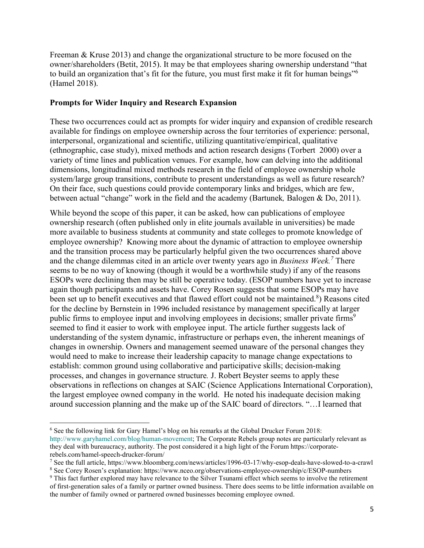Freeman & Kruse 2013) and change the organizational structure to be more focused on the owner/shareholders (Betit, 2015). It may be that employees sharing ownership understand "that to build an organization that's fit for the future, you must first make it fit for human beings"<sup>6</sup> (Hamel 2018).

### **Prompts for Wider Inquiry and Research Expansion**

These two occurrences could act as prompts for wider inquiry and expansion of credible research available for findings on employee ownership across the four territories of experience: personal, interpersonal, organizational and scientific, utilizing quantitative/empirical, qualitative (ethnographic, case study), mixed methods and action research designs (Torbert 2000) over a variety of time lines and publication venues. For example, how can delving into the additional dimensions, longitudinal mixed methods research in the field of employee ownership whole system/large group transitions, contribute to present understandings as well as future research? On their face, such questions could provide contemporary links and bridges, which are few, between actual "change" work in the field and the academy (Bartunek*,* Balogen & Do, 2011).

While beyond the scope of this paper, it can be asked, how can publications of employee ownership research (often published only in elite journals available in universities) be made more available to business students at community and state colleges to promote knowledge of employee ownership? Knowing more about the dynamic of attraction to employee ownership and the transition process may be particularly helpful given the two occurrences shared above and the change dilemmas cited in an article over twenty years ago in *Business Week.<sup>7</sup>* There seems to be no way of knowing (though it would be a worthwhile study) if any of the reasons ESOPs were declining then may be still be operative today. (ESOP numbers have yet to increase again though participants and assets have. Corey Rosen suggests that some ESOPs may have been set up to benefit executives and that flawed effort could not be maintained.<sup>8</sup>) Reasons cited for the decline by Bernstein in 1996 included resistance by management specifically at larger public firms to employee input and involving employees in decisions; smaller private firms<sup>9</sup> seemed to find it easier to work with employee input. The article further suggests lack of understanding of the system dynamic, infrastructure or perhaps even, the inherent meanings of changes in ownership. Owners and management seemed unaware of the personal changes they would need to make to increase their leadership capacity to manage change expectations to establish: common ground using collaborative and participative skills; decision-making processes, and changes in governance structure*.* J. Robert Beyster seems to apply these observations in reflections on changes at SAIC (Science Applications International Corporation), the largest employee owned company in the world. He noted his inadequate decision making around succession planning and the make up of the SAIC board of directors. "…I learned that

 $\overline{a}$ <sup>6</sup> See the following link for Gary Hamel's blog on his remarks at the Global Drucker Forum 2018: http://www.garyhamel.com/blog/human-movement; The Corporate Rebels group notes are particularly relevant as they deal with bureaucracy, authority. The post considered it a high light of the Forum https://corporaterebels.com/hamel-speech-drucker-forum/

<sup>7</sup> See the full article, https://www.bloomberg.com/news/articles/1996-03-17/why-esop-deals-have-slowed-to-a-crawl

<sup>8</sup> See Corey Rosen's explanation: https://www.nceo.org/observations-employee-ownership/c/ESOP-numbers

<sup>9</sup> This fact further explored may have relevance to the Silver Tsunami effect which seems to involve the retirement of first-generation sales of a family or partner owned business. There does seems to be little information available on the number of family owned or partnered owned businesses becoming employee owned.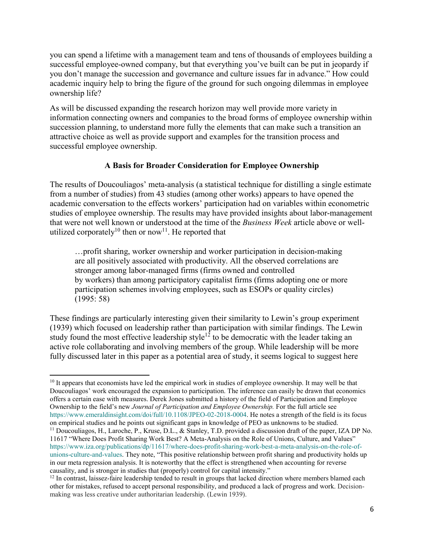you can spend a lifetime with a management team and tens of thousands of employees building a successful employee-owned company, but that everything you've built can be put in jeopardy if you don't manage the succession and governance and culture issues far in advance." How could academic inquiry help to bring the figure of the ground for such ongoing dilemmas in employee ownership life?

As will be discussed expanding the research horizon may well provide more variety in information connecting owners and companies to the broad forms of employee ownership within succession planning, to understand more fully the elements that can make such a transition an attractive choice as well as provide support and examples for the transition process and successful employee ownership.

## **A Basis for Broader Consideration for Employee Ownership**

The results of Doucouliagos' meta-analysis (a statistical technique for distilling a single estimate from a number of studies) from 43 studies (among other works) appears to have opened the academic conversation to the effects workers' participation had on variables within econometric studies of employee ownership. The results may have provided insights about labor-management that were not well known or understood at the time of the *Business Week* article above or wellutilized corporately<sup>10</sup> then or now<sup>11</sup>. He reported that

…profit sharing, worker ownership and worker participation in decision-making are all positively associated with productivity. All the observed correlations are stronger among labor-managed firms (firms owned and controlled by workers) than among participatory capitalist firms (firms adopting one or more participation schemes involving employees, such as ESOPs or quality circles) (1995: 58)

These findings are particularly interesting given their similarity to Lewin's group experiment (1939) which focused on leadership rather than participation with similar findings. The Lewin study found the most effective leadership style<sup>12</sup> to be democratic with the leader taking an active role collaborating and involving members of the group. While leadership will be more fully discussed later in this paper as a potential area of study, it seems logical to suggest here

 $\overline{a}$ <sup>10</sup> It appears that economists have led the empirical work in studies of employee ownership. It may well be that Doucouliagos' work encouraged the expansion to participation. The inference can easily be drawn that economics offers a certain ease with measures. Derek Jones submitted a history of the field of Participation and Employee Ownership to the field's new *Journal of Participation and Employee Ownership.* For the full article see https://www.emeraldinsight.com/doi/full/10.1108/JPEO-02-2018-0004. He notes a strength of the field is its focus on empirical studies and he points out significant gaps in knowledge of PEO as unknowns to be studied.

<sup>&</sup>lt;sup>11</sup> Doucouliagos, H., Laroche, P., Kruse, D.L., & Stanley, T.D. provided a discussion draft of the paper, IZA DP No. 11617 "Where Does Profit Sharing Work Best? A Meta-Analysis on the Role of Unions, Culture, and Values" https://www.iza.org/publications/dp/11617/where-does-profit-sharing-work-best-a-meta-analysis-on-the-role-ofunions-culture-and-values. They note, "This positive relationship between profit sharing and productivity holds up in our meta regression analysis. It is noteworthy that the effect is strengthened when accounting for reverse causality, and is stronger in studies that (properly) control for capital intensity."

 $12$  In contrast, laissez-faire leadership tended to result in groups that lacked direction where members blamed each other for mistakes, refused to accept personal responsibility, and produced a lack of progress and work. Decisionmaking was less creative under authoritarian leadership. (Lewin 1939).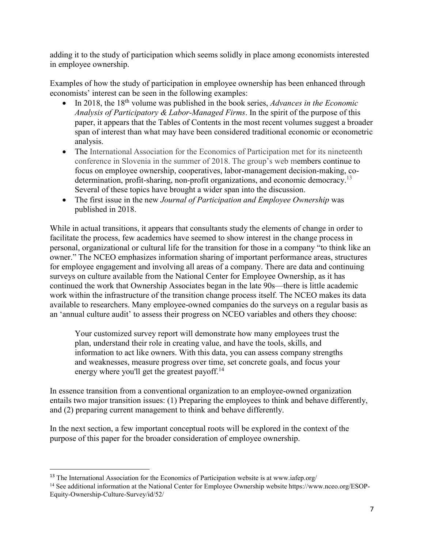adding it to the study of participation which seems solidly in place among economists interested in employee ownership.

Examples of how the study of participation in employee ownership has been enhanced through economists' interest can be seen in the following examples:

- In 2018, the 18th volume was published in the book series, *Advances in the Economic Analysis of Participatory & Labor-Managed Firms*. In the spirit of the purpose of this paper, it appears that the Tables of Contents in the most recent volumes suggest a broader span of interest than what may have been considered traditional economic or econometric analysis.
- The International Association for the Economics of Participation met for its nineteenth conference in Slovenia in the summer of 2018. The group's web members continue to focus on employee ownership, cooperatives, labor-management decision-making, codetermination, profit-sharing, non-profit organizations, and economic democracy.<sup>13</sup> Several of these topics have brought a wider span into the discussion.
- The first issue in the new *Journal of Participation and Employee Ownership* was published in 2018.

While in actual transitions, it appears that consultants study the elements of change in order to facilitate the process, few academics have seemed to show interest in the change process in personal, organizational or cultural life for the transition for those in a company "to think like an owner." The NCEO emphasizes information sharing of important performance areas, structures for employee engagement and involving all areas of a company. There are data and continuing surveys on culture available from the National Center for Employee Ownership, as it has continued the work that Ownership Associates began in the late 90s—there is little academic work within the infrastructure of the transition change process itself. The NCEO makes its data available to researchers. Many employee-owned companies do the surveys on a regular basis as an 'annual culture audit' to assess their progress on NCEO variables and others they choose:

Your customized survey report will demonstrate how many employees trust the plan, understand their role in creating value, and have the tools, skills, and information to act like owners. With this data, you can assess company strengths and weaknesses, measure progress over time, set concrete goals, and focus your energy where you'll get the greatest payoff.<sup>14</sup>

In essence transition from a conventional organization to an employee-owned organization entails two major transition issues: (1) Preparing the employees to think and behave differently, and (2) preparing current management to think and behave differently.

In the next section, a few important conceptual roots will be explored in the context of the purpose of this paper for the broader consideration of employee ownership.

<sup>&</sup>lt;sup>13</sup> The International Association for the Economics of Participation website is at www.iafep.org/

<sup>&</sup>lt;sup>14</sup> See additional information at the National Center for Employee Ownership website https://www.nceo.org/ESOP-Equity-Ownership-Culture-Survey/id/52/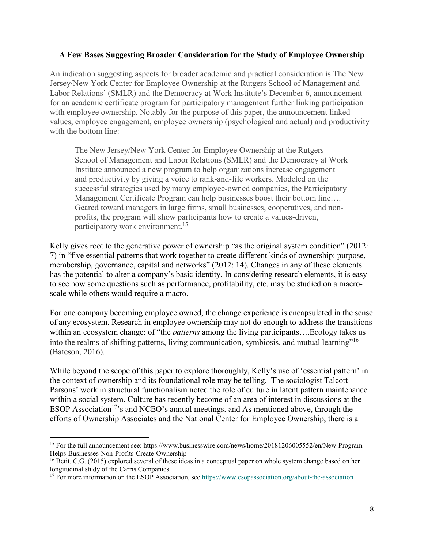### **A Few Bases Suggesting Broader Consideration for the Study of Employee Ownership**

An indication suggesting aspects for broader academic and practical consideration is The New Jersey/New York Center for Employee Ownership at the Rutgers School of Management and Labor Relations' (SMLR) and the Democracy at Work Institute's December 6, announcement for an academic certificate program for participatory management further linking participation with employee ownership. Notably for the purpose of this paper, the announcement linked values, employee engagement, employee ownership (psychological and actual) and productivity with the bottom line:

The New Jersey/New York Center for Employee Ownership at the Rutgers School of Management and Labor Relations (SMLR) and the Democracy at Work Institute announced a new program to help organizations increase engagement and productivity by giving a voice to rank-and-file workers. Modeled on the successful strategies used by many employee-owned companies, the Participatory Management Certificate Program can help businesses boost their bottom line…. Geared toward managers in large firms, small businesses, cooperatives, and nonprofits, the program will show participants how to create a values-driven, participatory work environment.<sup>15</sup>

Kelly gives root to the generative power of ownership "as the original system condition" (2012: 7) in "five essential patterns that work together to create different kinds of ownership: purpose, membership, governance, capital and networks" (2012: 14). Changes in any of these elements has the potential to alter a company's basic identity. In considering research elements, it is easy to see how some questions such as performance, profitability, etc. may be studied on a macroscale while others would require a macro.

For one company becoming employee owned, the change experience is encapsulated in the sense of any ecosystem. Research in employee ownership may not do enough to address the transitions within an ecosystem change: of "the *patterns* among the living participants….Ecology takes us into the realms of shifting patterns, living communication, symbiosis, and mutual learning"<sup>16</sup> (Bateson, 2016).

While beyond the scope of this paper to explore thoroughly, Kelly's use of 'essential pattern' in the context of ownership and its foundational role may be telling. The sociologist Talcott Parsons' work in structural functionalism noted the role of culture in latent pattern maintenance within a social system. Culture has recently become of an area of interest in discussions at the ESOP Association<sup>17</sup>'s and NCEO's annual meetings. and As mentioned above, through the efforts of Ownership Associates and the National Center for Employee Ownership, there is a

 $\overline{a}$ 

<sup>15</sup> For the full announcement see: https://www.businesswire.com/news/home/20181206005552/en/New-Program-Helps-Businesses-Non-Profits-Create-Ownership

<sup>&</sup>lt;sup>16</sup> Betit, C.G. (2015) explored several of these ideas in a conceptual paper on whole system change based on her longitudinal study of the Carris Companies.

<sup>&</sup>lt;sup>17</sup> For more information on the ESOP Association, see https://www.esopassociation.org/about-the-association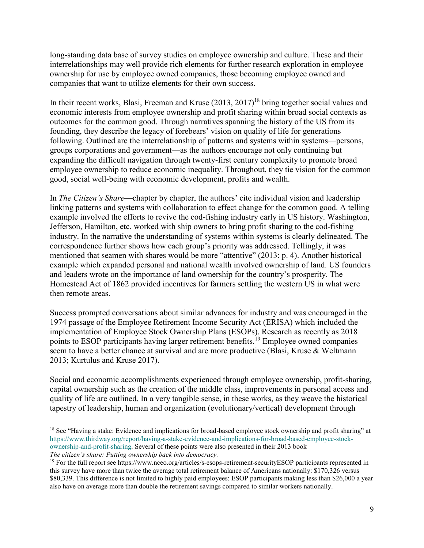long-standing data base of survey studies on employee ownership and culture. These and their interrelationships may well provide rich elements for further research exploration in employee ownership for use by employee owned companies, those becoming employee owned and companies that want to utilize elements for their own success.

In their recent works, Blasi, Freeman and Kruse  $(2013, 2017)^{18}$  bring together social values and economic interests from employee ownership and profit sharing within broad social contexts as outcomes for the common good. Through narratives spanning the history of the US from its founding, they describe the legacy of forebears' vision on quality of life for generations following. Outlined are the interrelationship of patterns and systems within systems—persons, groups corporations and government—as the authors encourage not only continuing but expanding the difficult navigation through twenty-first century complexity to promote broad employee ownership to reduce economic inequality. Throughout, they tie vision for the common good, social well-being with economic development, profits and wealth.

In *The Citizen's Share*—chapter by chapter, the authors' cite individual vision and leadership linking patterns and systems with collaboration to effect change for the common good. A telling example involved the efforts to revive the cod-fishing industry early in US history. Washington, Jefferson, Hamilton, etc. worked with ship owners to bring profit sharing to the cod-fishing industry. In the narrative the understanding of systems within systems is clearly delineated. The correspondence further shows how each group's priority was addressed. Tellingly, it was mentioned that seamen with shares would be more "attentive" (2013: p. 4). Another historical example which expanded personal and national wealth involved ownership of land. US founders and leaders wrote on the importance of land ownership for the country's prosperity. The Homestead Act of 1862 provided incentives for farmers settling the western US in what were then remote areas.

Success prompted conversations about similar advances for industry and was encouraged in the 1974 passage of the Employee Retirement Income Security Act (ERISA) which included the implementation of Employee Stock Ownership Plans (ESOPs). Research as recently as 2018 points to ESOP participants having larger retirement benefits.<sup>19</sup> Employee owned companies seem to have a better chance at survival and are more productive (Blasi, Kruse & Weltmann 2013; Kurtulus and Kruse 2017).

Social and economic accomplishments experienced through employee ownership, profit-sharing, capital ownership such as the creation of the middle class, improvements in personal access and quality of life are outlined. In a very tangible sense, in these works, as they weave the historical tapestry of leadership, human and organization (evolutionary/vertical) development through

 $\overline{a}$ 

<sup>&</sup>lt;sup>18</sup> See "Having a stake: Evidence and implications for broad-based employee stock ownership and profit sharing" at https://www.thirdway.org/report/having-a-stake-evidence-and-implications-for-broad-based-employee-stockownership-and-profit-sharing. Several of these points were also presented in their 2013 book *The citizen's share: Putting ownership back into democracy.*

<sup>&</sup>lt;sup>19</sup> For the full report see https://www.nceo.org/articles/s-esops-retirement-securityESOP participants represented in this survey have more than twice the average total retirement balance of Americans nationally: \$170,326 versus \$80,339. This difference is not limited to highly paid employees: ESOP participants making less than \$26,000 a year also have on average more than double the retirement savings compared to similar workers nationally.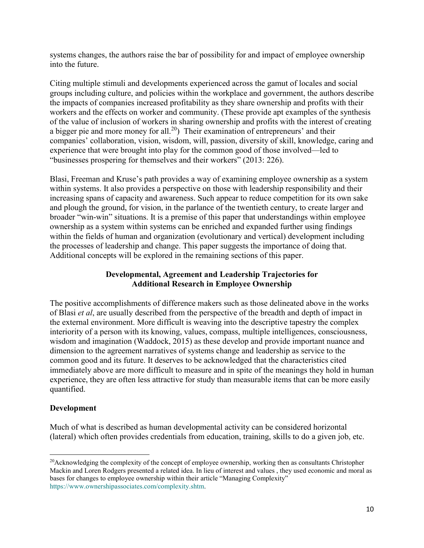systems changes, the authors raise the bar of possibility for and impact of employee ownership into the future.

Citing multiple stimuli and developments experienced across the gamut of locales and social groups including culture, and policies within the workplace and government, the authors describe the impacts of companies increased profitability as they share ownership and profits with their workers and the effects on worker and community. (These provide apt examples of the synthesis of the value of inclusion of workers in sharing ownership and profits with the interest of creating a bigger pie and more money for all.20) Their examination of entrepreneurs' and their companies' collaboration, vision, wisdom, will, passion, diversity of skill, knowledge, caring and experience that were brought into play for the common good of those involved—led to "businesses prospering for themselves and their workers" (2013: 226).

Blasi, Freeman and Kruse's path provides a way of examining employee ownership as a system within systems. It also provides a perspective on those with leadership responsibility and their increasing spans of capacity and awareness. Such appear to reduce competition for its own sake and plough the ground, for vision, in the parlance of the twentieth century, to create larger and broader "win-win" situations. It is a premise of this paper that understandings within employee ownership as a system within systems can be enriched and expanded further using findings within the fields of human and organization (evolutionary and vertical) development including the processes of leadership and change. This paper suggests the importance of doing that. Additional concepts will be explored in the remaining sections of this paper.

## **Developmental, Agreement and Leadership Trajectories for Additional Research in Employee Ownership**

The positive accomplishments of difference makers such as those delineated above in the works of Blasi *et al*, are usually described from the perspective of the breadth and depth of impact in the external environment. More difficult is weaving into the descriptive tapestry the complex interiority of a person with its knowing, values, compass, multiple intelligences, consciousness, wisdom and imagination (Waddock, 2015) as these develop and provide important nuance and dimension to the agreement narratives of systems change and leadership as service to the common good and its future. It deserves to be acknowledged that the characteristics cited immediately above are more difficult to measure and in spite of the meanings they hold in human experience, they are often less attractive for study than measurable items that can be more easily quantified.

## **Development**

1

Much of what is described as human developmental activity can be considered horizontal (lateral) which often provides credentials from education, training, skills to do a given job, etc.

<sup>&</sup>lt;sup>20</sup>Acknowledging the complexity of the concept of employee ownership, working then as consultants Christopher Mackin and Loren Rodgers presented a related idea. In lieu of interest and values , they used economic and moral as bases for changes to employee ownership within their article "Managing Complexity" https://www.ownershipassociates.com/complexity.shtm.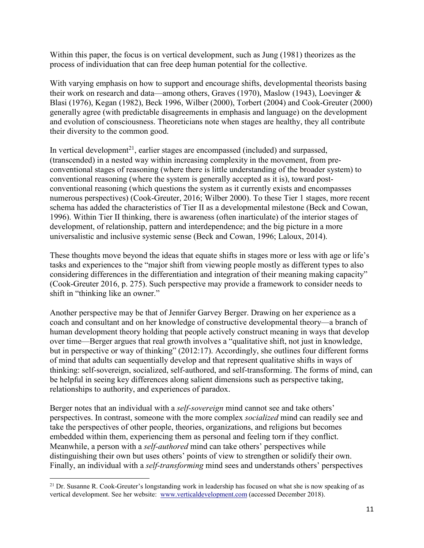Within this paper, the focus is on vertical development, such as Jung (1981) theorizes as the process of individuation that can free deep human potential for the collective.

With varying emphasis on how to support and encourage shifts, developmental theorists basing their work on research and data—among others, Graves (1970), Maslow (1943), Loevinger & Blasi (1976), Kegan (1982), Beck 1996, Wilber (2000), Torbert (2004) and Cook-Greuter (2000) generally agree (with predictable disagreements in emphasis and language) on the development and evolution of consciousness. Theoreticians note when stages are healthy, they all contribute their diversity to the common good.

In vertical development<sup>21</sup>, earlier stages are encompassed (included) and surpassed, (transcended) in a nested way within increasing complexity in the movement, from preconventional stages of reasoning (where there is little understanding of the broader system) to conventional reasoning (where the system is generally accepted as it is), toward postconventional reasoning (which questions the system as it currently exists and encompasses numerous perspectives) (Cook-Greuter, 2016; Wilber 2000). To these Tier 1 stages, more recent schema has added the characteristics of Tier II as a developmental milestone (Beck and Cowan, 1996). Within Tier II thinking, there is awareness (often inarticulate) of the interior stages of development, of relationship, pattern and interdependence; and the big picture in a more universalistic and inclusive systemic sense (Beck and Cowan, 1996; Laloux, 2014).

These thoughts move beyond the ideas that equate shifts in stages more or less with age or life's tasks and experiences to the "major shift from viewing people mostly as different types to also considering differences in the differentiation and integration of their meaning making capacity" (Cook-Greuter 2016, p. 275). Such perspective may provide a framework to consider needs to shift in "thinking like an owner."

Another perspective may be that of Jennifer Garvey Berger. Drawing on her experience as a coach and consultant and on her knowledge of constructive developmental theory—a branch of human development theory holding that people actively construct meaning in ways that develop over time—Berger argues that real growth involves a "qualitative shift, not just in knowledge, but in perspective or way of thinking" (2012:17). Accordingly, she outlines four different forms of mind that adults can sequentially develop and that represent qualitative shifts in ways of thinking: self-sovereign, socialized, self-authored, and self-transforming. The forms of mind, can be helpful in seeing key differences along salient dimensions such as perspective taking, relationships to authority, and experiences of paradox.

Berger notes that an individual with a *self-sovereign* mind cannot see and take others' perspectives. In contrast, someone with the more complex *socialized* mind can readily see and take the perspectives of other people, theories, organizations, and religions but becomes embedded within them, experiencing them as personal and feeling torn if they conflict. Meanwhile, a person with a *self-authored* mind can take others' perspectives while distinguishing their own but uses others' points of view to strengthen or solidify their own. Finally, an individual with a *self-transforming* mind sees and understands others' perspectives

**.** 

<sup>&</sup>lt;sup>21</sup> Dr. Susanne R. Cook-Greuter's longstanding work in leadership has focused on what she is now speaking of as vertical development. See her website: www.verticaldevelopment.com (accessed December 2018).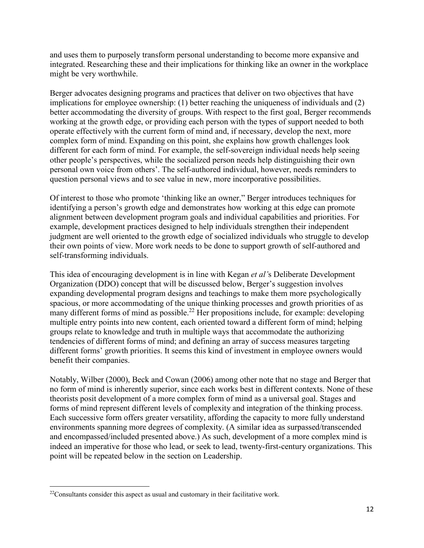and uses them to purposely transform personal understanding to become more expansive and integrated. Researching these and their implications for thinking like an owner in the workplace might be very worthwhile.

Berger advocates designing programs and practices that deliver on two objectives that have implications for employee ownership: (1) better reaching the uniqueness of individuals and (2) better accommodating the diversity of groups. With respect to the first goal, Berger recommends working at the growth edge, or providing each person with the types of support needed to both operate effectively with the current form of mind and, if necessary, develop the next, more complex form of mind. Expanding on this point, she explains how growth challenges look different for each form of mind. For example, the self-sovereign individual needs help seeing other people's perspectives, while the socialized person needs help distinguishing their own personal own voice from others'. The self-authored individual, however, needs reminders to question personal views and to see value in new, more incorporative possibilities.

Of interest to those who promote 'thinking like an owner," Berger introduces techniques for identifying a person's growth edge and demonstrates how working at this edge can promote alignment between development program goals and individual capabilities and priorities. For example, development practices designed to help individuals strengthen their independent judgment are well oriented to the growth edge of socialized individuals who struggle to develop their own points of view. More work needs to be done to support growth of self-authored and self-transforming individuals.

This idea of encouraging development is in line with Kegan *et al'*s Deliberate Development Organization (DDO) concept that will be discussed below, Berger's suggestion involves expanding developmental program designs and teachings to make them more psychologically spacious, or more accommodating of the unique thinking processes and growth priorities of as many different forms of mind as possible.<sup>22</sup> Her propositions include, for example: developing multiple entry points into new content, each oriented toward a different form of mind; helping groups relate to knowledge and truth in multiple ways that accommodate the authorizing tendencies of different forms of mind; and defining an array of success measures targeting different forms' growth priorities. It seems this kind of investment in employee owners would benefit their companies.

Notably, Wilber (2000), Beck and Cowan (2006) among other note that no stage and Berger that no form of mind is inherently superior, since each works best in different contexts. None of these theorists posit development of a more complex form of mind as a universal goal. Stages and forms of mind represent different levels of complexity and integration of the thinking process. Each successive form offers greater versatility, affording the capacity to more fully understand environments spanning more degrees of complexity. (A similar idea as surpassed/transcended and encompassed/included presented above.) As such, development of a more complex mind is indeed an imperative for those who lead, or seek to lead, twenty-first-century organizations. This point will be repeated below in the section on Leadership.

**.** 

<sup>&</sup>lt;sup>22</sup>Consultants consider this aspect as usual and customary in their facilitative work.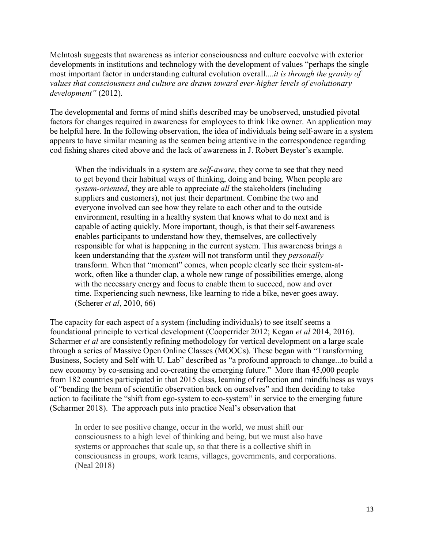McIntosh suggests that awareness as interior consciousness and culture coevolve with exterior developments in institutions and technology with the development of values "perhaps the single most important factor in understanding cultural evolution overall....*it is through the gravity of values that consciousness and culture are drawn toward ever-higher levels of evolutionary development"* (2012).

The developmental and forms of mind shifts described may be unobserved, unstudied pivotal factors for changes required in awareness for employees to think like owner. An application may be helpful here. In the following observation, the idea of individuals being self-aware in a system appears to have similar meaning as the seamen being attentive in the correspondence regarding cod fishing shares cited above and the lack of awareness in J. Robert Beyster's example.

When the individuals in a system are *self-aware*, they come to see that they need to get beyond their habitual ways of thinking, doing and being. When people are *system*-*oriented*, they are able to appreciate *all* the stakeholders (including suppliers and customers), not just their department. Combine the two and everyone involved can see how they relate to each other and to the outside environment, resulting in a healthy system that knows what to do next and is capable of acting quickly. More important, though, is that their self-awareness enables participants to understand how they, themselves, are collectively responsible for what is happening in the current system. This awareness brings a keen understanding that the *system* will not transform until they *personally*  transform. When that "moment" comes, when people clearly see their system-atwork, often like a thunder clap, a whole new range of possibilities emerge, along with the necessary energy and focus to enable them to succeed, now and over time. Experiencing such newness, like learning to ride a bike, never goes away. (Scherer *et al*, 2010, 66)

The capacity for each aspect of a system (including individuals) to see itself seems a foundational principle to vertical development (Cooperrider 2012; Kegan *et al* 2014, 2016). Scharmer *et al* are consistently refining methodology for vertical development on a large scale through a series of Massive Open Online Classes (MOOCs). These began with "Transforming Business, Society and Self with U. Lab" described as "a profound approach to change...to build a new economy by co-sensing and co-creating the emerging future." More than 45,000 people from 182 countries participated in that 2015 class, learning of reflection and mindfulness as ways of "bending the beam of scientific observation back on ourselves" and then deciding to take action to facilitate the "shift from ego-system to eco-system" in service to the emerging future (Scharmer 2018). The approach puts into practice Neal's observation that

In order to see positive change, occur in the world, we must shift our consciousness to a high level of thinking and being, but we must also have systems or approaches that scale up, so that there is a collective shift in consciousness in groups, work teams, villages, governments, and corporations. (Neal 2018)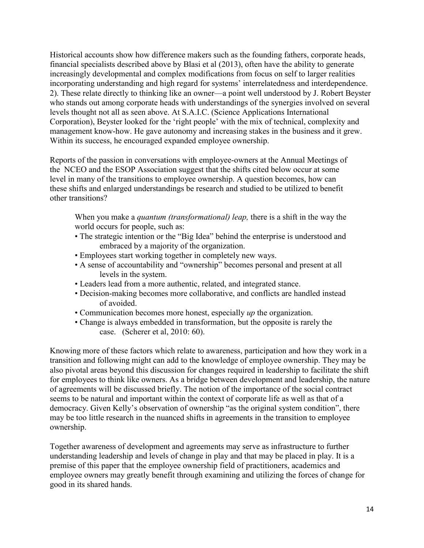Historical accounts show how difference makers such as the founding fathers, corporate heads, financial specialists described above by Blasi et al (2013), often have the ability to generate increasingly developmental and complex modifications from focus on self to larger realities incorporating understanding and high regard for systems' interrelatedness and interdependence. 2). These relate directly to thinking like an owner—a point well understood by J. Robert Beyster who stands out among corporate heads with understandings of the synergies involved on several levels thought not all as seen above. At S.A.I.C. (Science Applications International Corporation), Beyster looked for the 'right people' with the mix of technical, complexity and management know-how. He gave autonomy and increasing stakes in the business and it grew. Within its success, he encouraged expanded employee ownership.

Reports of the passion in conversations with employee-owners at the Annual Meetings of the NCEO and the ESOP Association suggest that the shifts cited below occur at some level in many of the transitions to employee ownership. A question becomes, how can these shifts and enlarged understandings be research and studied to be utilized to benefit other transitions?

When you make a *quantum (transformational) leap,* there is a shift in the way the world occurs for people, such as:

- The strategic intention or the "Big Idea" behind the enterprise is understood and embraced by a majority of the organization.
- Employees start working together in completely new ways.
- A sense of accountability and "ownership" becomes personal and present at all levels in the system.
- Leaders lead from a more authentic, related, and integrated stance.
- Decision-making becomes more collaborative, and conflicts are handled instead of avoided.
- Communication becomes more honest, especially *up* the organization.
- Change is always embedded in transformation, but the opposite is rarely the case. (Scherer et al, 2010: 60).

Knowing more of these factors which relate to awareness, participation and how they work in a transition and following might can add to the knowledge of employee ownership. They may be also pivotal areas beyond this discussion for changes required in leadership to facilitate the shift for employees to think like owners. As a bridge between development and leadership, the nature of agreements will be discussed briefly. The notion of the importance of the social contract seems to be natural and important within the context of corporate life as well as that of a democracy. Given Kelly's observation of ownership "as the original system condition", there may be too little research in the nuanced shifts in agreements in the transition to employee ownership.

Together awareness of development and agreements may serve as infrastructure to further understanding leadership and levels of change in play and that may be placed in play. It is a premise of this paper that the employee ownership field of practitioners, academics and employee owners may greatly benefit through examining and utilizing the forces of change for good in its shared hands.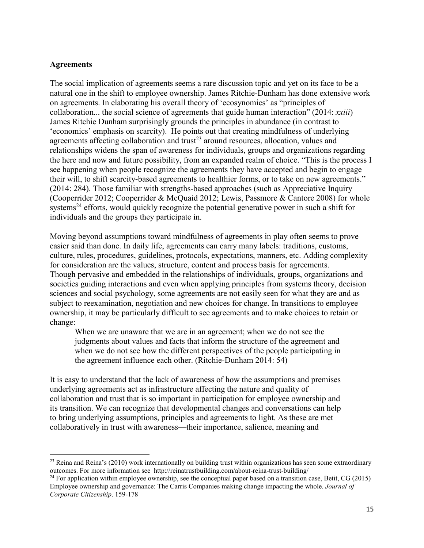### **Agreements**

1

The social implication of agreements seems a rare discussion topic and yet on its face to be a natural one in the shift to employee ownership. James Ritchie-Dunham has done extensive work on agreements. In elaborating his overall theory of 'ecosynomics' as "principles of collaboration... the social science of agreements that guide human interaction" (2014: *xxiii*) James Ritchie Dunham surprisingly grounds the principles in abundance (in contrast to 'economics' emphasis on scarcity). He points out that creating mindfulness of underlying agreements affecting collaboration and trust<sup>23</sup> around resources, allocation, values and relationships widens the span of awareness for individuals, groups and organizations regarding the here and now and future possibility, from an expanded realm of choice. "This is the process I see happening when people recognize the agreements they have accepted and begin to engage their will, to shift scarcity-based agreements to healthier forms, or to take on new agreements." (2014: 284). Those familiar with strengths-based approaches (such as Appreciative Inquiry (Cooperrider 2012; Cooperrider & McQuaid 2012; Lewis, Passmore & Cantore 2008) for whole systems<sup>24</sup> efforts, would quickly recognize the potential generative power in such a shift for individuals and the groups they participate in.

Moving beyond assumptions toward mindfulness of agreements in play often seems to prove easier said than done. In daily life, agreements can carry many labels: traditions, customs, culture, rules, procedures, guidelines, protocols, expectations, manners, etc. Adding complexity for consideration are the values, structure, content and process basis for agreements. Though pervasive and embedded in the relationships of individuals, groups, organizations and societies guiding interactions and even when applying principles from systems theory, decision sciences and social psychology, some agreements are not easily seen for what they are and as subject to reexamination, negotiation and new choices for change. In transitions to employee ownership, it may be particularly difficult to see agreements and to make choices to retain or change:

When we are unaware that we are in an agreement; when we do not see the judgments about values and facts that inform the structure of the agreement and when we do not see how the different perspectives of the people participating in the agreement influence each other. (Ritchie-Dunham 2014: 54)

It is easy to understand that the lack of awareness of how the assumptions and premises underlying agreements act as infrastructure affecting the nature and quality of collaboration and trust that is so important in participation for employee ownership and its transition. We can recognize that developmental changes and conversations can help to bring underlying assumptions, principles and agreements to light. As these are met collaboratively in trust with awareness—their importance, salience, meaning and

 $^{23}$  Reina and Reina's (2010) work internationally on building trust within organizations has seen some extraordinary outcomes. For more information see http://reinatrustbuilding.com/about-reina-trust-building/

<sup>&</sup>lt;sup>24</sup> For application within employee ownership, see the conceptual paper based on a transition case, Betit, CG (2015) Employee ownership and governance: The Carris Companies making change impacting the whole. *Journal of Corporate Citizenship*. 159-178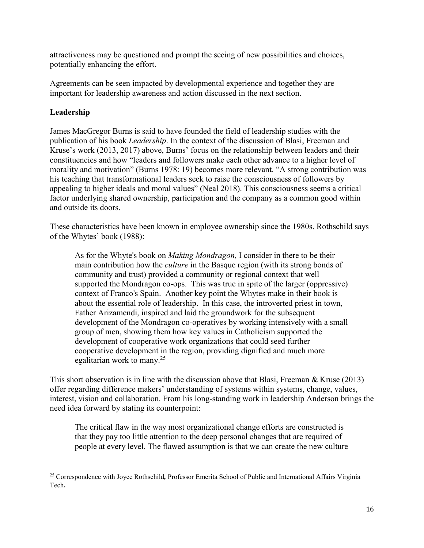attractiveness may be questioned and prompt the seeing of new possibilities and choices, potentially enhancing the effort.

Agreements can be seen impacted by developmental experience and together they are important for leadership awareness and action discussed in the next section.

### **Leadership**

 $\overline{a}$ 

James MacGregor Burns is said to have founded the field of leadership studies with the publication of his book *Leadership*. In the context of the discussion of Blasi, Freeman and Kruse's work (2013, 2017) above, Burns' focus on the relationship between leaders and their constituencies and how "leaders and followers make each other advance to a higher level of morality and motivation" (Burns 1978: 19) becomes more relevant. "A strong contribution was his teaching that transformational leaders seek to raise the consciousness of followers by appealing to higher ideals and moral values" (Neal 2018). This consciousness seems a critical factor underlying shared ownership, participation and the company as a common good within and outside its doors.

These characteristics have been known in employee ownership since the 1980s. Rothschild says of the Whytes' book (1988):

As for the Whyte's book on *Making Mondragon,* I consider in there to be their main contribution how the *culture* in the Basque region (with its strong bonds of community and trust) provided a community or regional context that well supported the Mondragon co-ops. This was true in spite of the larger (oppressive) context of Franco's Spain. Another key point the Whytes make in their book is about the essential role of leadership. In this case, the introverted priest in town, Father Arizamendi, inspired and laid the groundwork for the subsequent development of the Mondragon co-operatives by working intensively with a small group of men, showing them how key values in Catholicism supported the development of cooperative work organizations that could seed further cooperative development in the region, providing dignified and much more egalitarian work to many.<sup>25</sup>

This short observation is in line with the discussion above that Blasi, Freeman & Kruse (2013) offer regarding difference makers' understanding of systems within systems, change, values, interest, vision and collaboration. From his long-standing work in leadership Anderson brings the need idea forward by stating its counterpoint:

The critical flaw in the way most organizational change efforts are constructed is that they pay too little attention to the deep personal changes that are required of people at every level. The flawed assumption is that we can create the new culture

<sup>25</sup> Correspondence with Joyce Rothschild*,* Professor Emerita School of Public and International Affairs Virginia Tech.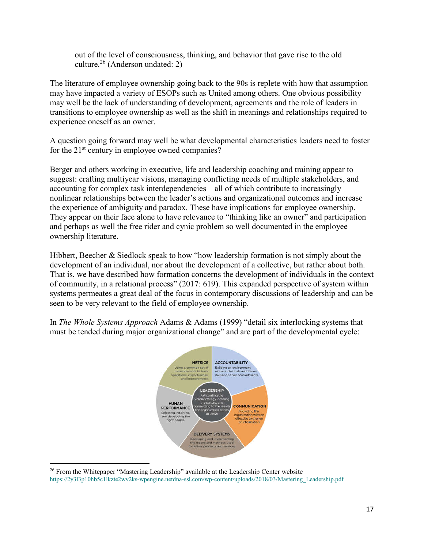out of the level of consciousness, thinking, and behavior that gave rise to the old culture. $2^6$  (Anderson undated: 2)

The literature of employee ownership going back to the 90s is replete with how that assumption may have impacted a variety of ESOPs such as United among others. One obvious possibility may well be the lack of understanding of development, agreements and the role of leaders in transitions to employee ownership as well as the shift in meanings and relationships required to experience oneself as an owner.

A question going forward may well be what developmental characteristics leaders need to foster for the  $21<sup>st</sup>$  century in employee owned companies?

Berger and others working in executive, life and leadership coaching and training appear to suggest: crafting multiyear visions, managing conflicting needs of multiple stakeholders, and accounting for complex task interdependencies—all of which contribute to increasingly nonlinear relationships between the leader's actions and organizational outcomes and increase the experience of ambiguity and paradox. These have implications for employee ownership. They appear on their face alone to have relevance to "thinking like an owner" and participation and perhaps as well the free rider and cynic problem so well documented in the employee ownership literature.

Hibbert, Beecher & Siedlock speak to how "how leadership formation is not simply about the development of an individual, nor about the development of a collective, but rather about both. That is, we have described how formation concerns the development of individuals in the context of community, in a relational process" (2017: 619). This expanded perspective of system within systems permeates a great deal of the focus in contemporary discussions of leadership and can be seen to be very relevant to the field of employee ownership.

In *The Whole Systems Approach* Adams & Adams (1999) "detail six interlocking systems that must be tended during major organizational change" and are part of the developmental cycle:



**<sup>.</sup>** <sup>26</sup> From the Whitepaper "Mastering Leadership" available at the Leadership Center website https://2y3l3p10hb5c1lkzte2wv2ks-wpengine.netdna-ssl.com/wp-content/uploads/2018/03/Mastering\_Leadership.pdf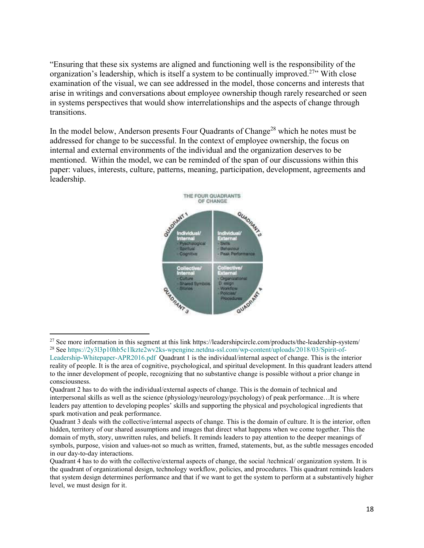"Ensuring that these six systems are aligned and functioning well is the responsibility of the organization's leadership, which is itself a system to be continually improved.<sup>27</sup>" With close examination of the visual, we can see addressed in the model, those concerns and interests that arise in writings and conversations about employee ownership though rarely researched or seen in systems perspectives that would show interrelationships and the aspects of change through transitions.

In the model below, Anderson presents Four Quadrants of Change<sup>28</sup> which he notes must be addressed for change to be successful. In the context of employee ownership, the focus on internal and external environments of the individual and the organization deserves to be mentioned. Within the model, we can be reminded of the span of our discussions within this paper: values, interests, culture, patterns, meaning, participation, development, agreements and leadership.



**<sup>.</sup>** <sup>27</sup> See more information in this segment at this link https://leadershipcircle.com/products/the-leadership-system/

<sup>28</sup> See https://2y3l3p10hb5c1lkzte2wv2ks-wpengine.netdna-ssl.com/wp-content/uploads/2018/03/Spirit-of-Leadership-Whitepaper-APR2016.pdf Quadrant 1 is the individual/internal aspect of change. This is the interior reality of people. It is the area of cognitive, psychological, and spiritual development. In this quadrant leaders attend to the inner development of people, recognizing that no substantive change is possible without a prior change in consciousness.

Quadrant 2 has to do with the individual/external aspects of change. This is the domain of technical and interpersonal skills as well as the science (physiology/neurology/psychology) of peak performance…It is where leaders pay attention to developing peoples' skills and supporting the physical and psychological ingredients that spark motivation and peak performance.

Quadrant 3 deals with the collective/internal aspects of change. This is the domain of culture. It is the interior, often hidden, territory of our shared assumptions and images that direct what happens when we come together. This the domain of myth, story, unwritten rules, and beliefs. It reminds leaders to pay attention to the deeper meanings of symbols, purpose, vision and values-not so much as written, framed, statements, but, as the subtle messages encoded in our day-to-day interactions.

Quadrant 4 has to do with the collective/external aspects of change, the social /technical/ organization system. It is the quadrant of organizational design, technology workflow, policies, and procedures. This quadrant reminds leaders that system design determines performance and that if we want to get the system to perform at a substantively higher level, we must design for it.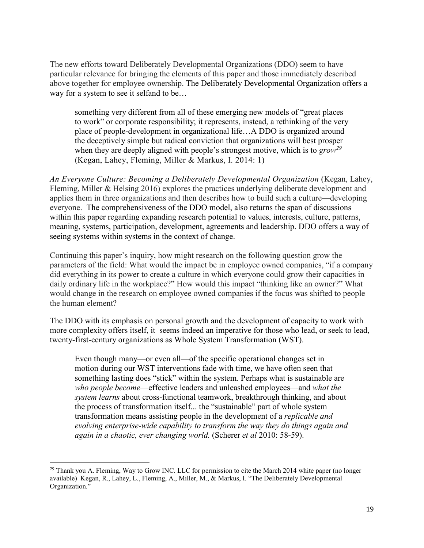The new efforts toward Deliberately Developmental Organizations (DDO) seem to have particular relevance for bringing the elements of this paper and those immediately described above together for employee ownership. The Deliberately Developmental Organization offers a way for a system to see it selfand to be…

something very different from all of these emerging new models of "great places to work" or corporate responsibility; it represents, instead, a rethinking of the very place of people-development in organizational life…A DDO is organized around the deceptively simple but radical conviction that organizations will best prosper when they are deeply aligned with people's strongest motive, which is to *grow*<sup>29</sup> (Kegan, Lahey, Fleming, Miller & Markus, I. 2014: 1)

*An Everyone Culture: Becoming a Deliberately Developmental Organization* (Kegan, Lahey, Fleming, Miller & Helsing 2016) explores the practices underlying deliberate development and applies them in three organizations and then describes how to build such a culture—developing everyone. The comprehensiveness of the DDO model, also returns the span of discussions within this paper regarding expanding research potential to values, interests, culture, patterns, meaning, systems, participation, development, agreements and leadership. DDO offers a way of seeing systems within systems in the context of change.

Continuing this paper's inquiry, how might research on the following question grow the parameters of the field: What would the impact be in employee owned companies, "if a company did everything in its power to create a culture in which everyone could grow their capacities in daily ordinary life in the workplace?" How would this impact "thinking like an owner?" What would change in the research on employee owned companies if the focus was shifted to people the human element?

The DDO with its emphasis on personal growth and the development of capacity to work with more complexity offers itself, it seems indeed an imperative for those who lead, or seek to lead, twenty-first-century organizations as Whole System Transformation (WST).

Even though many—or even all—of the specific operational changes set in motion during our WST interventions fade with time, we have often seen that something lasting does "stick" within the system. Perhaps what is sustainable are *who people become*—effective leaders and unleashed employees—and *what the system learns* about cross-functional teamwork, breakthrough thinking, and about the process of transformation itself... the "sustainable" part of whole system transformation means assisting people in the development of a *replicable and evolving enterprise-wide capability to transform the way they do things again and again in a chaotic, ever changing world.* (Scherer *et al* 2010: 58-59).

**.** 

 $^{29}$  Thank you A. Fleming, Way to Grow INC. LLC for permission to cite the March 2014 white paper (no longer available) Kegan, R., Lahey, L., Fleming, A., Miller, M., & Markus, I. "The Deliberately Developmental Organization."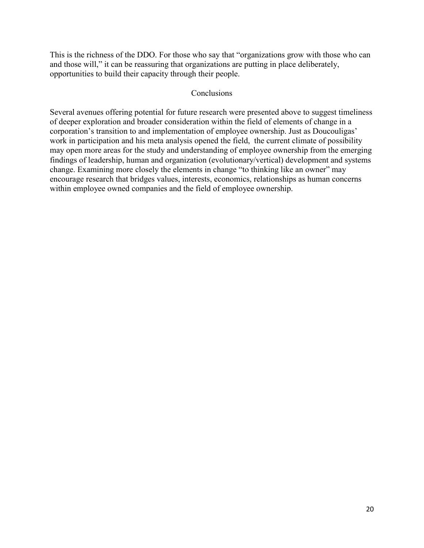This is the richness of the DDO. For those who say that "organizations grow with those who can and those will," it can be reassuring that organizations are putting in place deliberately, opportunities to build their capacity through their people.

#### Conclusions

Several avenues offering potential for future research were presented above to suggest timeliness of deeper exploration and broader consideration within the field of elements of change in a corporation's transition to and implementation of employee ownership. Just as Doucouligas' work in participation and his meta analysis opened the field, the current climate of possibility may open more areas for the study and understanding of employee ownership from the emerging findings of leadership, human and organization (evolutionary/vertical) development and systems change. Examining more closely the elements in change "to thinking like an owner" may encourage research that bridges values, interests, economics, relationships as human concerns within employee owned companies and the field of employee ownership.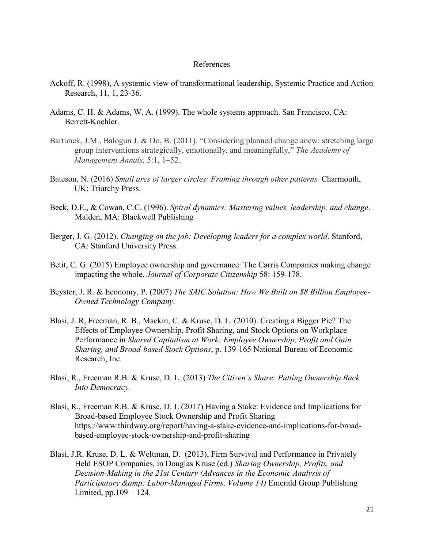#### References

- Ackoff, R. (1998), A systemic view of transformational leadership, Systemic Practice and Action Research, 11, 1, 23-36.
- Adams, C. H. & Adams, W. A. (1999). The whole systems approach. San Francisco, CA: Berrett-Koehler.
- Bartunek, J.M., Balogun J. & Do, B. (2011). "Considering planned change anew: stretching large group interventions strategically, emotionally, and meaningfully," *The Academy of Management Annals,* 5:1, 1–52.
- Bateson, N. (2016) *Small arcs of larger circles: Framing through other patterns.* Charmouth, UK: Triarchy Press.
- Beck, D.E., & Cowan, C.C. (1996). *Spiral dynamics: Mastering values, leadership, and change*. Malden, MA: Blackwell Publishing
- Berger, J. G. (2012). *Changing on the job: Developing leaders for a complex world*. Stanford, CA: Stanford University Press.
- Betit, C. G. (2015) Employee ownership and governance: The Carris Companies making change impacting the whole. *Journal of Corporate Citizenship* 58: 159-178.
- Beyster, J. R. & Economy, P. (2007) *The SAIC Solution: How We Built an \$8 Billion Employee-Owned Technology Company*.
- Blasi, J. R, Freeman, R. B., Mackin, C. & Kruse, D. L. (2010). Creating a Bigger Pie? The Effects of Employee Ownership, Profit Sharing, and Stock Options on Workplace Performance in *Shared Capitalism at Work: Employee Ownership, Profit and Gain Sharing, and Broad-based Stock Options*, p. 139-165 National Bureau of Economic Research, Inc.
- Blasi, R., Freeman R.B. & Kruse, D. L. (2013) *The Citizen's Share: Putting Ownership Back Into Democracy.*
- Blasi, R., Freeman R.B. & Kruse, D. L (2017) Having a Stake: Evidence and Implications for Broad-based Employee Stock Ownership and Profit Sharing https://www.thirdway.org/report/having-a-stake-evidence-and-implications-for-broadbased-employee-stock-ownership-and-profit-sharing
- Blasi, J.R. Kruse, D. L. & Weltman, D. (2013), Firm Survival and Performance in Privately Held ESOP Companies, in Douglas Kruse (ed.) *Sharing Ownership, Profits, and Decision-Making in the 21st Century (Advances in the Economic Analysis of Participatory & amp; Labor-Managed Firms, Volume 14*) Emerald Group Publishing Limited, pp.109 – 124.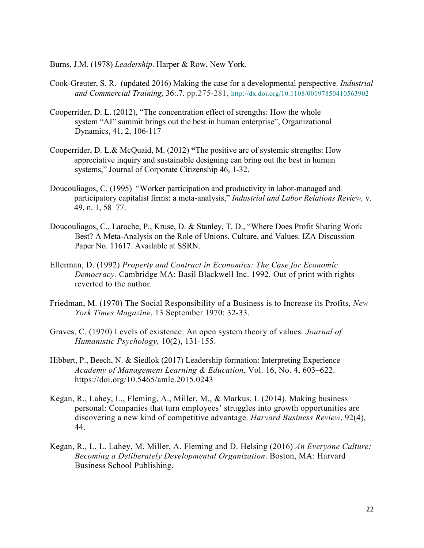Burns, J.M. (1978) *Leadership*. Harper & Row, New York.

- Cook-Greuter, S. R. (updated 2016) Making the case for a developmental perspective. *Industrial and Commercial Training*, 36:.7. pp.275-281, http://dx.doi.org/10.1108/00197850410563902
- Cooperrider, D. L. (2012), "The concentration effect of strengths: How the whole system "AI" summit brings out the best in human enterprise", Organizational Dynamics, 41, 2, 106-117
- Cooperrider, D. L.& McQuaid, M. (2012) **"**The positive arc of systemic strengths: How appreciative inquiry and sustainable designing can bring out the best in human systems," Journal of Corporate Citizenship 46, 1-32.
- Doucouliagos, C. (1995) "Worker participation and productivity in labor-managed and participatory capitalist firms: a meta-analysis," *Industrial and Labor Relations Review,* v. 49, n. 1, 58–77.
- Doucouliagos, C., Laroche, P., Kruse, D. & Stanley, T. D., "Where Does Profit Sharing Work Best? A Meta-Analysis on the Role of Unions, Culture, and Values. IZA Discussion Paper No. 11617. Available at SSRN.
- Ellerman, D. (1992) *Property and Contract in Economics: The Case for Economic Democracy.* Cambridge MA: Basil Blackwell Inc. 1992. Out of print with rights reverted to the author.
- Friedman, M. (1970) The Social Responsibility of a Business is to Increase its Profits, *New York Times Magazine*, 13 September 1970: 32-33.
- Graves, C. (1970) Levels of existence: An open system theory of values. *Journal of Humanistic Psychology,* 10(2), 131-155.
- Hibbert, P., Beech, N. & Siedlok (2017) Leadership formation: Interpreting Experience *Academy of Management Learning & Education*, Vol. 16, No. 4, 603–622. https://doi.org/10.5465/amle.2015.0243
- Kegan, R., Lahey, L., Fleming, A., Miller, M., & Markus, I. (2014). Making business personal: Companies that turn employees' struggles into growth opportunities are discovering a new kind of competitive advantage. *Harvard Business Review*, 92(4), 44.
- Kegan, R., L. L. Lahey, M. Miller, A. Fleming and D. Helsing (2016) *An Everyone Culture: Becoming a Deliberately Developmental Organization*. Boston, MA: Harvard Business School Publishing.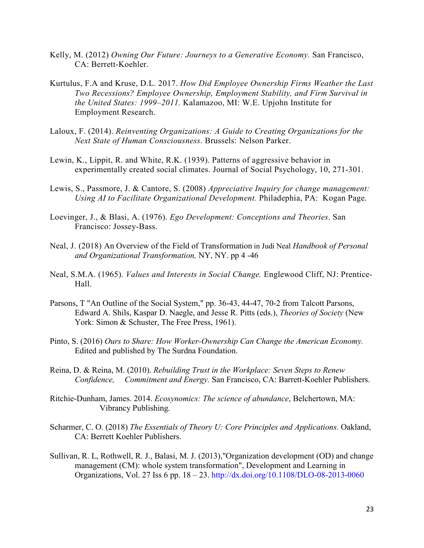- Kelly, M. (2012) *Owning Our Future: Journeys to a Generative Economy.* San Francisco, CA: Berrett-Koehler.
- Kurtulus, F.A and Kruse, D.L. 2017. *How Did Employee Ownership Firms Weather the Last Two Recessions? Employee Ownership, Employment Stability, and Firm Survival in the United States: 1999–2011.* Kalamazoo, MI: W.E. Upjohn Institute for Employment Research.
- Laloux, F. (2014). *Reinventing Organizations: A Guide to Creating Organizations for the Next State of Human Consciousness*. Brussels: Nelson Parker.
- Lewin, K., Lippit, R. and White, R.K. (1939). Patterns of aggressive behavior in experimentally created social climates. Journal of Social Psychology, 10, 271-301.
- Lewis, S., Passmore, J. & Cantore, S. (2008) *Appreciative Inquiry for change management: Using AI to Facilitate Organizational Development.* Philadephia, PA: Kogan Page.
- Loevinger, J., & Blasi, A. (1976). *Ego Development: Conceptions and Theories*. San Francisco: Jossey-Bass.
- Neal, J. (2018) An Overview of the Field of Transformation in Judi Neal *Handbook of Personal and Organizational Transformation,* NY, NY. pp 4 -46
- Neal, S.M.A. (1965). *Values and Interests in Social Change.* Englewood Cliff, NJ: Prentice-Hall.
- Parsons, T "An Outline of the Social System," pp. 36-43, 44-47, 70-2 from Talcott Parsons, Edward A. Shils, Kaspar D. Naegle, and Jesse R. Pitts (eds.), *Theories of Society* (New York: Simon & Schuster, The Free Press, 1961).
- Pinto, S. (2016) *Ours to Share: How Worker-Ownership Can Change the American Economy.* Edited and published by The Surdna Foundation.
- Reina, D. & Reina, M. (2010). *Rebuilding Trust in the Workplace: Seven Steps to Renew Confidence, Commitment and Energy.* San Francisco, CA: Barrett-Koehler Publishers.
- Ritchie-Dunham, James. 2014. *Ecosynomics: The science of abundance*, Belchertown, MA: Vibrancy Publishing.
- Scharmer, C. O. (2018) *The Essentials of Theory U: Core Principles and Applications.* Oakland, CA: Berrett Koehler Publishers.
- Sullivan, R. L, Rothwell, R. J., Balasi, M. J. (2013),"Organization development (OD) and change management (CM): whole system transformation", Development and Learning in Organizations, Vol. 27 Iss 6 pp. 18 – 23. http://dx.doi.org/10.1108/DLO-08-2013-0060